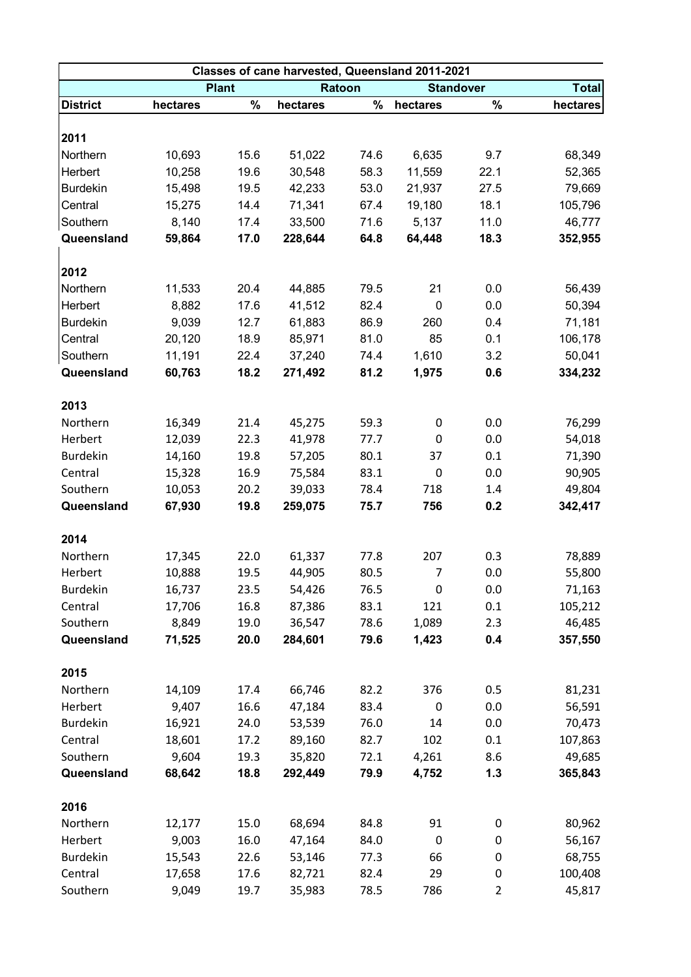| Classes of cane harvested, Queensland 2011-2021 |              |      |          |      |                  |                |              |  |  |  |  |
|-------------------------------------------------|--------------|------|----------|------|------------------|----------------|--------------|--|--|--|--|
|                                                 | <b>Plant</b> |      | Ratoon   |      | <b>Standover</b> |                | <b>Total</b> |  |  |  |  |
| <b>District</b>                                 | hectares     | $\%$ | hectares | $\%$ | hectares         | $\%$           | hectares     |  |  |  |  |
|                                                 |              |      |          |      |                  |                |              |  |  |  |  |
| 2011                                            |              |      |          |      |                  |                |              |  |  |  |  |
| Northern                                        | 10,693       | 15.6 | 51,022   | 74.6 | 6,635            | 9.7            | 68,349       |  |  |  |  |
| Herbert                                         | 10,258       | 19.6 | 30,548   | 58.3 | 11,559           | 22.1           | 52,365       |  |  |  |  |
| <b>Burdekin</b>                                 | 15,498       | 19.5 | 42,233   | 53.0 | 21,937           | 27.5           | 79,669       |  |  |  |  |
| Central                                         | 15,275       | 14.4 | 71,341   | 67.4 | 19,180           | 18.1           | 105,796      |  |  |  |  |
| Southern                                        | 8,140        | 17.4 | 33,500   | 71.6 | 5,137            | 11.0           | 46,777       |  |  |  |  |
| Queensland                                      | 59,864       | 17.0 | 228,644  | 64.8 | 64,448           | 18.3           | 352,955      |  |  |  |  |
|                                                 |              |      |          |      |                  |                |              |  |  |  |  |
| 2012                                            |              |      |          |      |                  |                |              |  |  |  |  |
| Northern                                        | 11,533       | 20.4 | 44,885   | 79.5 | 21               | 0.0            | 56,439       |  |  |  |  |
| Herbert                                         | 8,882        | 17.6 | 41,512   | 82.4 | 0                | 0.0            | 50,394       |  |  |  |  |
| <b>Burdekin</b>                                 | 9,039        | 12.7 | 61,883   | 86.9 | 260              | 0.4            | 71,181       |  |  |  |  |
| Central                                         | 20,120       | 18.9 | 85,971   | 81.0 | 85               | 0.1            | 106,178      |  |  |  |  |
| Southern                                        | 11,191       | 22.4 | 37,240   | 74.4 | 1,610            | 3.2            | 50,041       |  |  |  |  |
| Queensland                                      | 60,763       | 18.2 | 271,492  | 81.2 | 1,975            | 0.6            | 334,232      |  |  |  |  |
| 2013                                            |              |      |          |      |                  |                |              |  |  |  |  |
| Northern                                        | 16,349       | 21.4 | 45,275   | 59.3 | 0                | 0.0            | 76,299       |  |  |  |  |
| Herbert                                         | 12,039       | 22.3 | 41,978   | 77.7 | 0                | 0.0            | 54,018       |  |  |  |  |
| <b>Burdekin</b>                                 | 14,160       | 19.8 | 57,205   | 80.1 | 37               | 0.1            | 71,390       |  |  |  |  |
| Central                                         |              | 16.9 | 75,584   | 83.1 | 0                | 0.0            | 90,905       |  |  |  |  |
| Southern                                        | 15,328       |      |          |      | 718              |                |              |  |  |  |  |
|                                                 | 10,053       | 20.2 | 39,033   | 78.4 |                  | 1.4            | 49,804       |  |  |  |  |
| Queensland                                      | 67,930       | 19.8 | 259,075  | 75.7 | 756              | 0.2            | 342,417      |  |  |  |  |
| 2014                                            |              |      |          |      |                  |                |              |  |  |  |  |
| Northern                                        | 17,345       | 22.0 | 61,337   | 77.8 | 207              | 0.3            | 78,889       |  |  |  |  |
| Herbert                                         | 10,888       | 19.5 | 44,905   | 80.5 | 7                | 0.0            | 55,800       |  |  |  |  |
| <b>Burdekin</b>                                 | 16,737       | 23.5 | 54,426   | 76.5 | 0                | 0.0            | 71,163       |  |  |  |  |
| Central                                         | 17,706       | 16.8 | 87,386   | 83.1 | 121              | 0.1            | 105,212      |  |  |  |  |
| Southern                                        | 8,849        | 19.0 | 36,547   | 78.6 | 1,089            | 2.3            | 46,485       |  |  |  |  |
| Queensland                                      | 71,525       | 20.0 | 284,601  | 79.6 | 1,423            | 0.4            | 357,550      |  |  |  |  |
|                                                 |              |      |          |      |                  |                |              |  |  |  |  |
| 2015                                            |              |      |          |      |                  |                |              |  |  |  |  |
| Northern                                        | 14,109       | 17.4 | 66,746   | 82.2 | 376              | 0.5            | 81,231       |  |  |  |  |
| Herbert                                         | 9,407        | 16.6 | 47,184   | 83.4 | 0                | 0.0            | 56,591       |  |  |  |  |
| <b>Burdekin</b>                                 | 16,921       | 24.0 | 53,539   | 76.0 | 14               | 0.0            | 70,473       |  |  |  |  |
| Central                                         | 18,601       | 17.2 | 89,160   | 82.7 | 102              | 0.1            | 107,863      |  |  |  |  |
| Southern                                        | 9,604        | 19.3 | 35,820   | 72.1 | 4,261            | 8.6            | 49,685       |  |  |  |  |
| Queensland                                      | 68,642       | 18.8 | 292,449  | 79.9 | 4,752            | $1.3$          | 365,843      |  |  |  |  |
| 2016                                            |              |      |          |      |                  |                |              |  |  |  |  |
| Northern                                        | 12,177       | 15.0 | 68,694   | 84.8 | 91               | 0              | 80,962       |  |  |  |  |
| Herbert                                         | 9,003        | 16.0 | 47,164   | 84.0 | 0                | 0              | 56,167       |  |  |  |  |
| <b>Burdekin</b>                                 | 15,543       | 22.6 | 53,146   | 77.3 | 66               | 0              | 68,755       |  |  |  |  |
| Central                                         | 17,658       | 17.6 | 82,721   | 82.4 | 29               | 0              | 100,408      |  |  |  |  |
| Southern                                        | 9,049        | 19.7 | 35,983   | 78.5 | 786              | $\overline{2}$ | 45,817       |  |  |  |  |
|                                                 |              |      |          |      |                  |                |              |  |  |  |  |